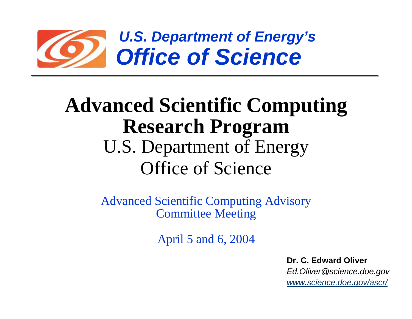

# **Advanced Scientific Computing Research Program** U.S. Department of Energy Office of Science

Advanced Scientific Computing Advisory Committee Meeting

April 5 and 6, 2004

**Dr. C. Edward Oliver***Ed.Oliver@science.doe.gov www.science.doe.gov/ascr/*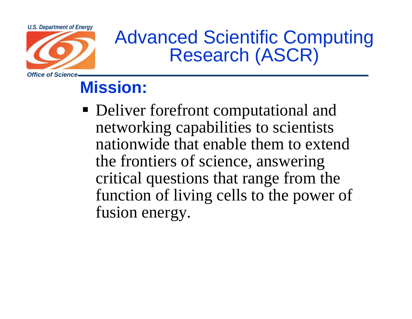

# U.S. Department of Energy<br>Advanced Scientific Computing Research (ASCR)

# **Mission:**

• Deliver forefront computational and networking capabilities to scientists nationwide that enable them to extend the frontiers of science, answering critical questions that range from the function of living cells to the power of fusion energy.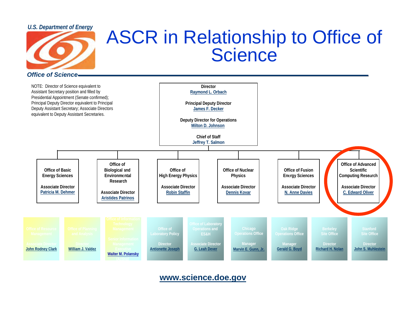#### *U.S. Department of Energy*



### **D** in Delation ASCR in Relationship to Office of **Science**

*Office of Science*



**www.science.doe.gov**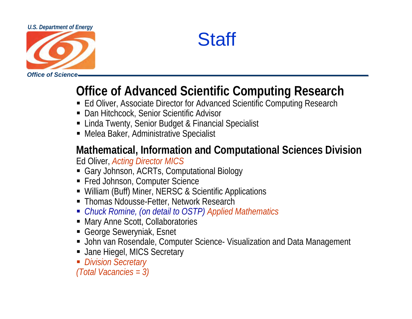#### *U.S. Department of Energy*





## **Office of Advanced Scientific Computing Research**

- Ed Oliver, Associate Director for Advanced Scientific Computing Research
- Dan Hitchcock, Senior Scientific Advisor
- Linda Twenty, Senior Budget & Financial Specialist
- Melea Baker, Administrative Specialist

#### **Mathematical, Information and Computational Sciences Division** Ed Oliver, *Acting Director MICS*

- Gary Johnson, ACRTs, Computational Biology
- Fred Johnson, Computer Science
- William (Buff) Miner, NERSC & Scientific Applications
- Thomas Ndousse-Fetter, Network Research
- *Chuck Romine, (on detail to OSTP) Applied Mathematics*
- Mary Anne Scott, Collaboratories
- George Seweryniak, Esnet
- John van Rosendale, Computer Science- Visualization and Data Management
- Jane Hiegel, MICS Secretary

*Division Secretary*

*(Total Vacancies = 3)*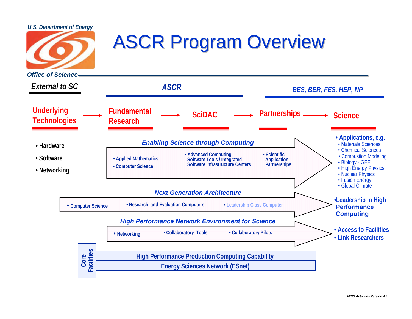



# **ASCR Program Overview**

*Office of Science***FundamentalResearchUnderlying Technologies • Hardware• Software• Networking SciDAC**C —— Partnerships —— Science *External to SC ASCR* **Energy Sciences Network (ESnet) High Performance Production Computing Capability Core Facilities • Applications, e.g.** • Materials Sciences • Chemical Sciences• Combustion Modeling • Biology - GEE • High Energy Physics • Nuclear Physics • Fusion Energy • Global Climate **• Access to Facilities• Link Researchers• Applied Mathematics • Computer Science •** Advanced Computing **Software Tools / Integrated Software Infrastructure Centers • ScientificApplication Partnerships • Networking • Collaboratory Tools • Collaboratory Pilots**  *BES, BER, FES, HEP, NP*  **•** Computer Science **• Computer Science • Performance • • Performance • Performance • Performance • Performance Computing** *Enabling Science through Computing Next Generation ArchitectureHigh Performance Network Environment for Science*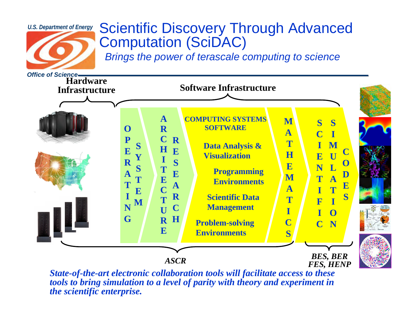

## Scientific Discovery Through Advanced Computation (SciDAC)

*Brings the power of terascale computing to science*



*tools to bring simulation to a level of parity with theory and experiment in the scientific enterprise.*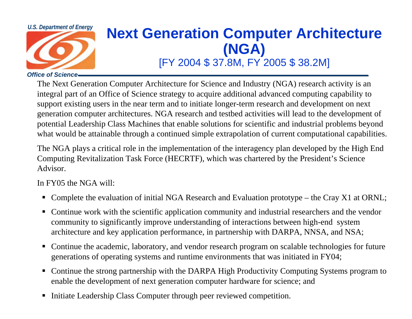

# *U.S. Department of Energy Next Generation Computer Architecture* **(NGA)**

## [FY 2004 \$ 37.8M, FY 2005 \$ 38.2M]

#### *Office of Science*

The Next Generation Computer Architecture for Science and Industry (NGA) research activity is an integral part of an Office of Science strategy to acquire additional advanced computing capability to support existing users in the near term and to initiate longer-term research and development on next generation computer architectures. NGA research and testbed activities will lead to the development of potential Leadership Class Machines that enable solutions for scientific and industrial problems beyond what would be attainable through a continued simple extrapolation of current computational capabilities.

The NGA plays a critical role in the implementation of the interagency plan developed by the High End Computing Revitalization Task Force (HECRTF), which was chartered by the President's Science Advisor.

#### In FY05 the NGA will:

- Complete the evaluation of initial NGA Research and Evaluation prototype the Cray X1 at ORNL;
- Continue work with the scientific application community and industrial researchers and the vendor community to significantly improve understanding of interactions between high-end system architecture and key application performance, in partnership with DARPA, NNSA, and NSA;
- Continue the academic, laboratory, and vendor research program on scalable technologies for future generations of operating systems and runtime environments that was initiated in FY04;
- Continue the strong partnership with the DARPA High Productivity Computing Systems program to enable the development of next generation computer hardware for science; and
- п Initiate Leadership Class Computer through peer reviewed competition.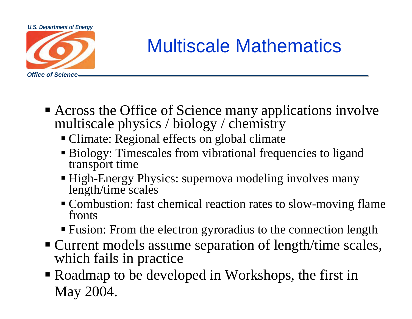

# Multiscale Mathematics

- Across the Office of Science many applications involve multiscale physics / biology / chemistry
	- Climate: Regional effects on global climate
	- Biology: Timescales from vibrational frequencies to ligand transport time
	- High-Energy Physics: supernova modeling involves many length/time scales
	- **Combustion:** fast chemical reaction rates to slow-moving flame fronts
	- Fusion: From the electron gyroradius to the connection length
- Current models assume separation of length/time scales, which fails in practice
- Roadmap to be developed in Workshops, the first in May 2004.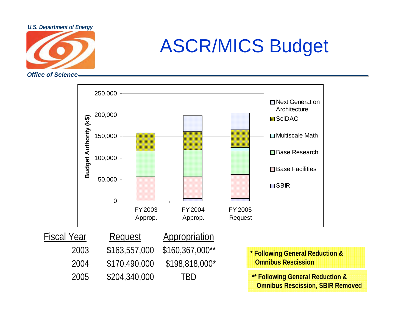

#### ASCR/M ASCR/MICS Budget

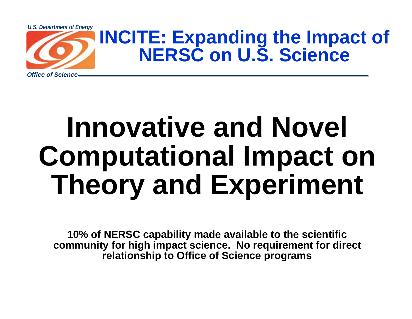

# **Innovative and Novel Computational Impact on Theory and Experiment**

**10% of NERSC capability made available to the scientific community for high impact science. No requirement for direct relationship to Office of Science programs**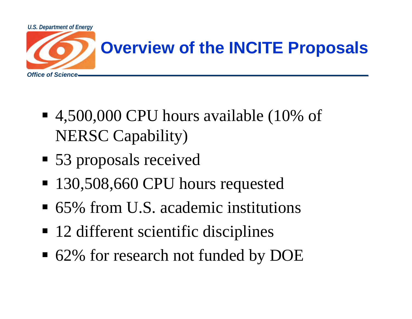

- 4,500,000 CPU hours available (10% of NERSC Capability)
- 53 proposals received
- 130,508,660 CPU hours requested
- 65% from U.S. academic institutions
- 12 different scientific disciplines
- 62% for research not funded by DOE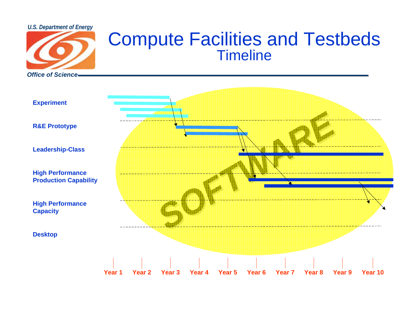*U.S. Department of Energy*



## Compute Facilities and Testbeds Timeline

*SOFTWARE SOFTWARE* **Experiment R&E Prototype Leadership-Class High Performance Production Capability High Performance Capacity Desktop Year 1Year 2 Year 3 Year 4 Year 5 Year 6 Year 7 Year 8 Year 9 Year 10**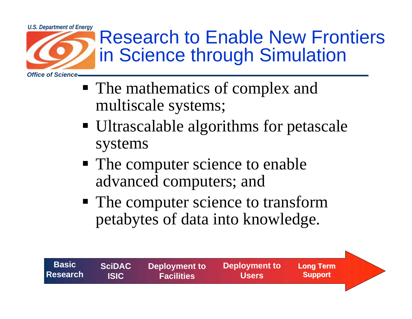

- **The mathematics of complex and** multiscale systems;
- Ultrascalable algorithms for petascale systems
- The computer science to enable advanced computers; and

**Deployment to Facilities**

**BasicResearch**

**SciDACISIC**

**The computer science to transform** petabytes of data into knowledge.

> **Deployment to Users**

**Long Term Support Support**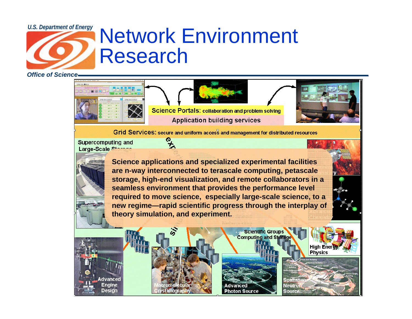# U.S. Department of Energy Network Environment Research

*Office of Science*



Grid Services: secure and uniform access and management for distributed resources

**Supercomputing and** Large-Scale Storage

**Engine** 

Desian



**Science applications and specialized experimental facilities are n-way interconnected to terascale computing, petascale storage, high-end visualization, and remote collaborators in a seamless environment that provides the performance level required to move science, especially large-scale science, to a new regime—rapid scientific progress through the interplay of theory simulation, and experiment.**



**Scientific Groups Computing and Stora** 

Spallatie

**Neutro** 

**Source:** 

High Energy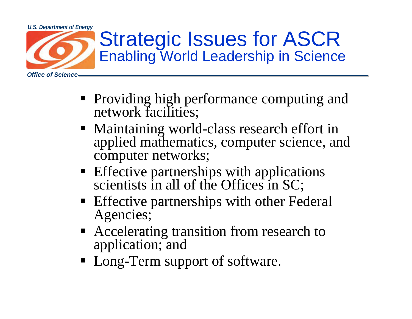

- **Providing high performance computing and** network facilities;
- Maintaining world-class research effort in applied mathematics, computer science, and computer networks;
- **Effective partnerships with applications** scientists in all of the Offices in SC;
- **Effective partnerships with other Federal** Agencies;
- Accelerating transition from research to application; and
- Long-Term support of software.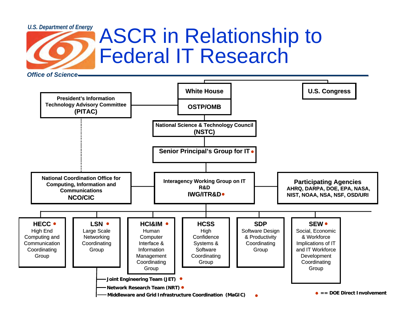# U.S. Department of Energy ASCR in Relationship to Federal IT Research

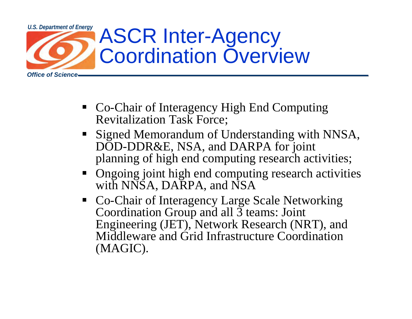

- Co-Chair of Interagency High End Computing Revitalization Task Force;
- **Signed Memorandum of Understanding with NNSA,** DOD-DDR&E, NSA, and DARPA for joint planning of high end computing research activities;
- Ongoing joint high end computing research activities with NNSA, DARPA, and NSA
- Co-Chair of Interagency Large Scale Networking Coordination Group and all 3 teams: Joint Engineering (JET), Network Research (NRT), and Middleware and Grid Infrastructure Coordination (MAGIC).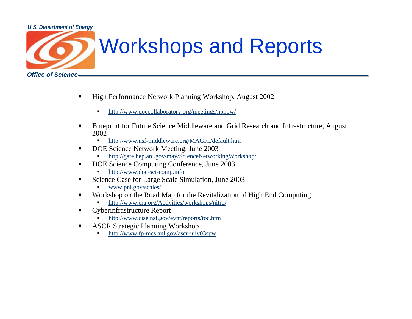#### *U.S. Department of Energy*



# Workshops and Reports

- $\blacksquare$  High Performance Network Planning Workshop, August 2002
	- n http://www.doecollaboratory.org/meetings/hpnpw/
- $\blacksquare$  Blueprint for Future Science Middleware and Grid Research and Infrastructure, August 2002
	- n http://www.nsf-middleware.org/MAGIC/default.htm
- $\blacksquare$  DOE Science Network Meeting, June 2003
	- n http://gate.hep.anl.gov/may/ScienceNetworkingWorkshop/
- $\blacksquare$  DOE Science Computing Conference, June 2003
	- http://www.doe-sci-comp.info
- $\blacksquare$  Science Case for Large Scale Simulation, June 2003
	- n www.pnl.gov/scales/
- $\blacksquare$  Workshop on the Road Map for the Revitalization of High End Computing
	- n http://www.cra.org/Activities/workshops/nitrd/
- $\blacksquare$  Cyberinfrastructure Report
	- n http://www.cise.nsf.gov/evnt/reports/toc.htm
- $\blacksquare$  ASCR Strategic Planning Workshop
	- http://www.fp-mcs.anl.gov/ascr-july03spw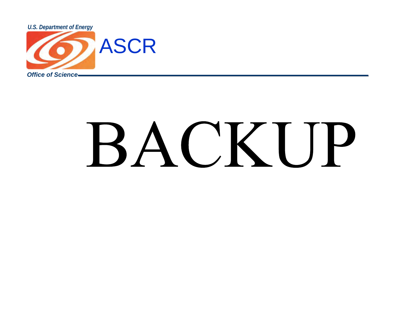

# BACKUP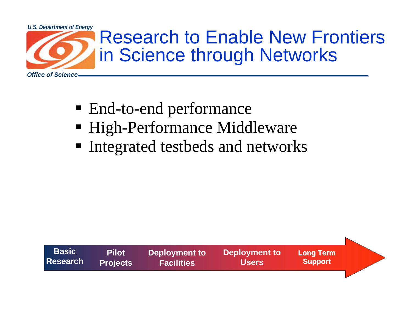

- End-to-end performance
- High-Performance Middleware
- **Integrated testbeds and networks**

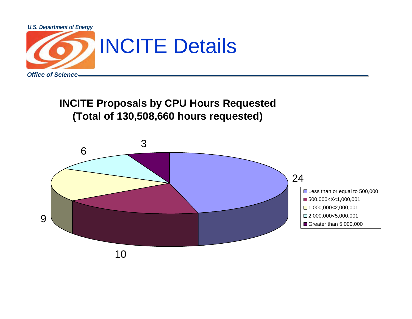

**INCITE Proposals by CPU Hours Requested (Total of 130,508,660 hours requested)**

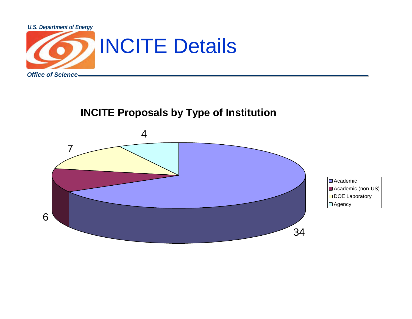

#### **INCITE Proposals by Type of Institution**



Academic Academic (non-US) DOE Laboratory  $\square$  Agency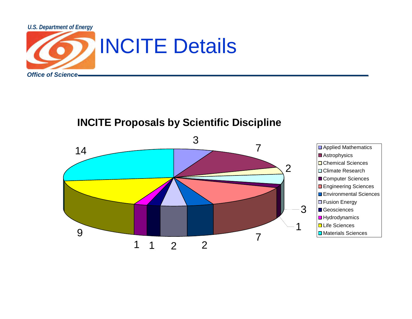

#### **INCITE Proposals by Scientific Discipline**

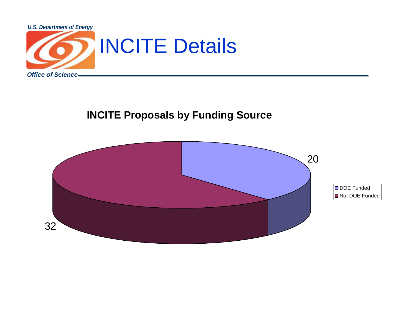

#### **INCITE Proposals by Funding Source**

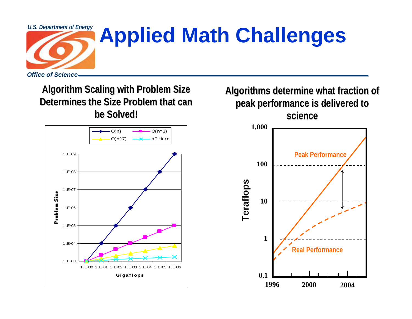

# **U.S. Department of Energy Applied Math Challenges**

**Algorithm Scaling with Problem Size Algorithm Scaling with Problem Size Determines the Size Problem that can be Solved! be Solved!**



**Algorithms determine what fraction of Algorithms determine what fraction of peak performance is delivered to peak performance is delivered to science science**

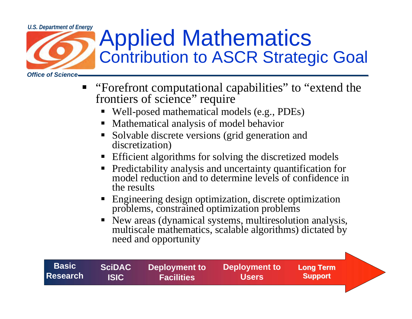# *Office of Science*U.S. Department of Energy Applied Mathematics Contribution to ASCR Strategic Goal

■ "Forefront computational capabilities" to "extend the frontiers of science" require П Well-posed mathematical models (e.g., PDEs) ш Mathematical analysis of model behavior П Solvable discrete versions (grid generation and discretization) п Efficient algorithms for solving the discretized models  $\blacksquare$  Predictability analysis and uncertainty quantification for model reduction and to determine levels of confidence in the resultsП Engineering design optimization, discrete optimization problems, constrained optimization problems  $\blacksquare$  New areas (dynamical systems, multiresolution analysis, multiscale mathematics, scalable algorithms) dictated by need and opportunity

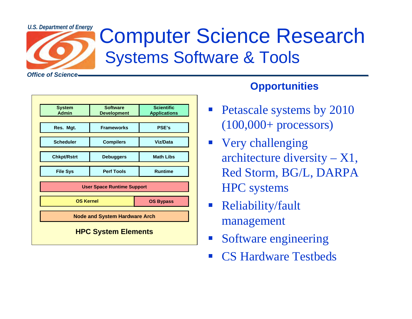

# U.S. Department of Energy Computer Science Research Systems Software & Tools

*Office of Science*

| <b>System</b><br><b>Admin</b>        | <b>Software</b><br><b>Development</b> | <b>Scientific</b><br><b>Applications</b> |
|--------------------------------------|---------------------------------------|------------------------------------------|
|                                      |                                       |                                          |
| Res. Mgt.                            | <b>Frameworks</b>                     | <b>PSE's</b>                             |
| <b>Scheduler</b>                     | <b>Compilers</b>                      | <b>Viz/Data</b>                          |
| <b>Chkpt/Rstrt</b>                   | <b>Debuggers</b>                      | <b>Math Libs</b>                         |
|                                      |                                       |                                          |
| <b>File Sys</b>                      | <b>Perf Tools</b>                     | <b>Runtime</b>                           |
|                                      | <b>User Space Runtime Support</b>     |                                          |
| <b>OS Kernel</b>                     |                                       | <b>OS Bypass</b>                         |
| <b>Node and System Hardware Arch</b> |                                       |                                          |
| <b>HPC System Elements</b>           |                                       |                                          |

#### **Opportunities**

- Petascale systems by 2010 (100,000+ processors)
- **Very challenging** architecture diversity  $- X1$ , Red Storm, BG/L, DARPA HPC systems
- Reliability/fault management
- $\mathcal{L}_{\mathcal{A}}$ Software engineering
- $\mathcal{L}^{\text{max}}$ CS Hardware Testbeds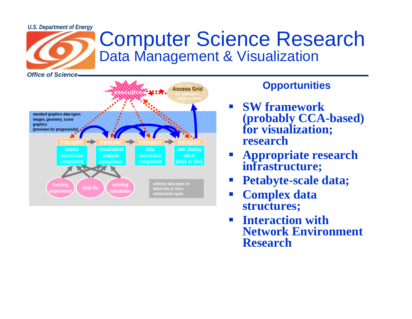#### *U.S. Department of Energy*



# Computer Science Research Data Management & Visualization

**Access Grid (or analogous environment) standard graphics data types: images, geometry, scene graphics (provision for progressivity) sourceconversioncomponent visualizationanalysis component dataconversioncomponent user display client(thick or thin) transport running rperiment running simulation data file transport transport transport arbitrary data types on which two or more components agree control flowexecutive**

#### **Opportunities**

- $\mathcal{L}_{\text{max}}$  **SW framework (probably CCA-based) for visualization; research**
- $\mathbb{R}^2$  **Appropriate research infrastructure;**
- $\mathbb{R}^2$ **Petabyte-scale data;**
- $\mathcal{L}_{\mathcal{A}}$  **Complex data structures;**
- **Interaction with Network Environment Research**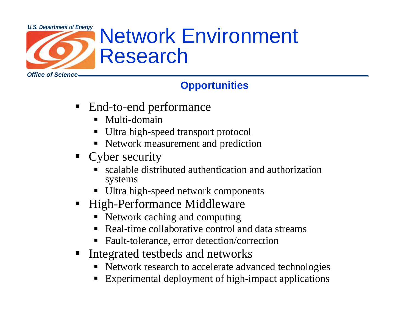

## **Opportunities**

- End-to-end performance
	- Multi-domain
	- Ultra high-speed transport protocol
	- Network measurement and prediction
- Cyber security
	- scalable distributed authentication and authorization systems
	- Ultra high-speed network components
- E High-Performance Middleware
	- Network caching and computing
	- Real-time collaborative control and data streams
	- Fault-tolerance, error detection/correction
- **Integrated testbeds and networks** 
	- Network research to accelerate advanced technologies
	- Experimental deployment of high-impact applications